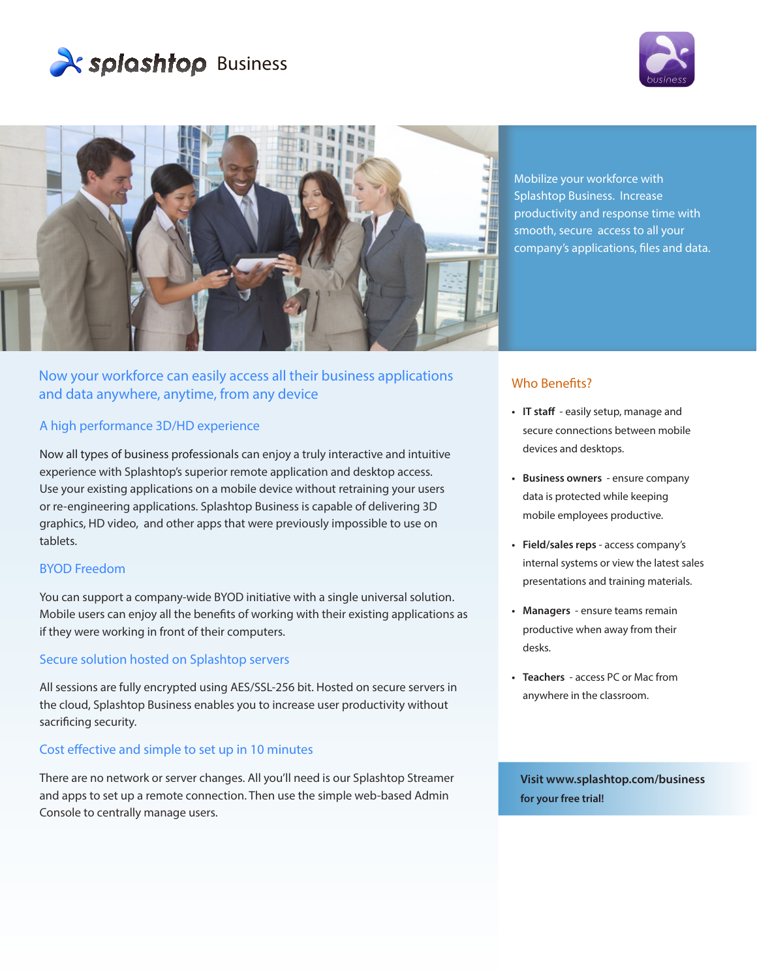





Now your workforce can easily access all their business applications and data anywhere, anytime, from any device

## A high performance 3D/HD experience

Now all types of business professionals can enjoy a truly interactive and intuitive experience with Splashtop's superior remote application and desktop access. Use your existing applications on a mobile device without retraining your users or re-engineering applications. Splashtop Business is capable of delivering 3D graphics, HD video, and other apps that were previously impossible to use on tablets.

### BYOD Freedom

You can support a company-wide BYOD initiative with a single universal solution. Mobile users can enjoy all the benefits of working with their existing applications as if they were working in front of their computers.

### Secure solution hosted on Splashtop servers

All sessions are fully encrypted using AES/SSL-256 bit. Hosted on secure servers in the cloud, Splashtop Business enables you to increase user productivity without sacrificing security.

#### Cost effective and simple to set up in 10 minutes

There are no network or server changes. All you'll need is our Splashtop Streamer and apps to set up a remote connection. Then use the simple web-based Admin Console to centrally manage users.

Mobilize your workforce with Splashtop Business. Increase productivity and response time with smooth, secure access to all your company's applications, files and data.

# Who Benefits?

- **• IT staff**  easily setup, manage and secure connections between mobile devices and desktops.
- **• Business owners**  ensure company data is protected while keeping mobile employees productive.
- **• Field/sales reps**  access company's internal systems or view the latest sales presentations and training materials.
- **• Managers**  ensure teams remain productive when away from their desks.
- **• Teachers**  access PC or Mac from anywhere in the classroom.

**Visit www.splashtop.com/business for your free trial!**